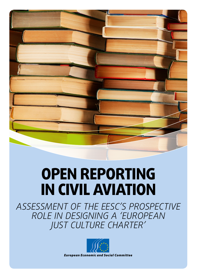# **OPEN REPORTING in civil aviation**

*Assessment of the EESC's prospective role in designing a 'European Just Culture Charter'*

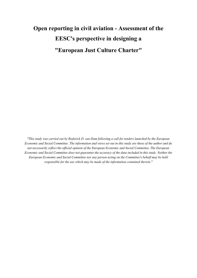## **Open reporting in civil aviation - Assessment of the EESC's perspective in designing a "European Just Culture Charter"**

*"This study was carried out by Roderick D. van Dam following a call for tenders launched by the European Economic and Social Committee. The information and views set out in this study are those of the author and do not necessarily reflect the official opinion of the European Economic and Social Committee. The European Economic and Social Committee does not guarantee the accuracy of the data included in this study. Neither the European Economic and Social Committee nor any person acting on the Committee's behalf may be held responsible for the use which may be made of the information contained therein."*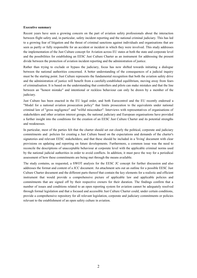#### <span id="page-2-0"></span>**Executive summary**

Recent years have seen a growing concern on the part of aviation safety professionals about the interaction between flight safety and, in particular, safety incident reporting and the national criminal judiciary. This has led to a growing fear of litigation and the threat of criminal sanctions against individuals and organisations that are seen as partly or fully responsible for an accident or incident in which they were involved. This study addresses the implementation of the Just Culture concept for Aviation across EU states at both the state and corporate level and the possibilities for establishing an EESC Just Culture Charter as an instrument for addressing the present divide between the protection of aviation incident reporting and the administration of justice.

Rather than trying to exclude or bypass the judiciary, focus has now shifted towards initiating a dialogue between the national authorities concerned. A better understanding of the consequences of a judicial inquiry must be the starting point. Just Culture represents the fundamental recognition that both the aviation safety drive and the administration of justice will benefit from a carefully-established equilibrium, moving away from fears of criminalisation. It is based on the understanding that controllers and pilots can make mistakes and that the line between an "honest mistake" and intentional or reckless behaviour can only be drawn by a member of the judiciary.

Just Culture has been enacted in the EU legal order, and both Eurocontrol and the EU recently endorsed a "Model for a national aviation prosecution policy" that limits prosecution to the equivalents under national criminal law of "gross negligence" and "wilful misconduct". Interviews with representatives of organisations of stakeholders and other aviation interest groups, the national judiciary and European organisations have provided a further insight into the conditions for the creation of an EESC Just Culture Charter and its potential strengths and weaknesses.

In particular, most of the parties felt that the charter should set out clearly the political, corporate and judiciary commitments and policies for creating a Just Culture based on the expectations and demands of the charter's signatories and relevant EESC stakeholders; and that these should be included in a 'living' document with clear provisions on updating and reporting on future developments. Furthermore, a common issue was the need to reconcile the descriptions of unacceptable behaviour at corporate level with the applicable criminal norms used by the national judicial authorities in order to avoid conflicts. In addition, it must pave the way for a periodical assessment of how these commitments are being met through the means available.

The study contains, as requested, a SWOT analysis for the EESC JC concept for further discussion and also addresses the format and content of a JCC document. An attachment sets out an outline for a possible EESC Just Culture Charter document and the different parts thereof that contain the key elements for a realistic and efficient instrument that would provide a comprehensive picture of applicable law and applicable policies and commitments that are signed off by their respective owners for their duration. The findings confirm that a number of issues and conditions related to an open reporting system for aviation cannot be adequately resolved through formal legislation and that a focused and accessible Just Culture Charter could, under certain conditions, provide a comprehensive repository for all relevant legislation, corporate and judiciary commitments or policies relevant to the establishment of an open safety culture in aviation.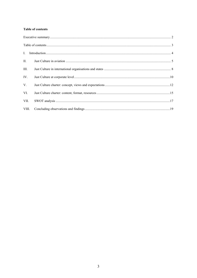#### <span id="page-3-0"></span>**Table of contents**

| II.         |  |
|-------------|--|
| III.        |  |
| IV.         |  |
| $V_{\cdot}$ |  |
| VI.         |  |
| VII.        |  |
| VIII.       |  |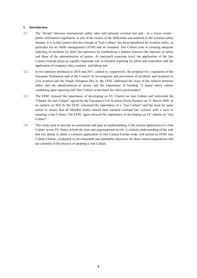#### <span id="page-4-0"></span>**I. Introduction**

- 1.1 The "divide" between international safety rules and national criminal law and to a lesser extent public information legislation, is one of the causes of the difficulties encountered in the aviation safety domain. It is in this context that the concept of "Just Culture" has been introduced for aviation safety, in particular for air traffic management (ATM) and air transport. Just Culture aims at ensuring adequate reporting of incidents by front line operators by establishing a balance between the interests of safety and those of the administration of justice. At (national) corporate level, the application of the Just Culture concept plays an equally important role in incident reporting by pilots and controllers and the application of company rules, contract- and labour law.
- 1.2 In two opinions produced in 2010 and 2011, related to, respectively, the proposal for a regulation of the European Parliament and of the Council on investigation and prevention of accidents and incidents in civil aviation and the Single European Sky II, the EESC addressed the issue of the relation between safety and the administration of justice and the importance of building "a sound safety culture combining open reporting and 'Just Culture' as the basis for safety performance".
- 1.3 The EESC stressed the importance of developing an EU Charter on Just Culture and welcomed the "Charter for Just Culture" agreed by the European Civil Aviation Social Partners on 31 March 2009. In its opinion on SES II, the EESC reiterated the importance of a "Just Culture" and the need for more action to ensure that all Member States amend their national criminal law systems with a view to ensuring a Just Culture. The EESC again stressed the importance of developing an EU charter on "Just Culture".
- 1.4 This study aims to provide an assessment and gain an understanding of the current application of a Just Culture across EU States at both the state and organisational levels. A realistic understanding of the task that lies ahead, to attain a common application of Just Culture Europe-wide, will permit an EESC Just Culture Charter, if adopted, to set reasonable and attainable objectives for those states/organisations that are currently in the process of adopting a Just Culture.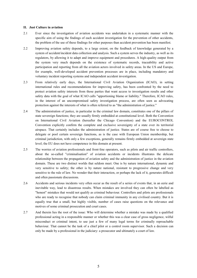#### <span id="page-5-0"></span>**II. Just Culture in aviation**

- 2.1 Ever since the investigation of aviation accidents was undertaken in a systematic manner with the specific aim of using the findings of each accident investigation for the prevention of other accidents, the problem of the use of these findings for other purposes than accident prevention has been manifest.
- 2.2 Improving aviation safety depends, to a large extent, on the feedback of knowledge generated by a system of accident/incident data collection and analysis. Such a system serves the industry, as well as its regulators, by allowing it to adapt and improve equipment and procedures. A high-quality output from the system very much depends on the existence of systematic records, traceability and active participation and reporting from all the aviation actors involved in safety areas. In the US and Europe, for example, well-developed accident prevention processes are in place, including mandatory and voluntary incident reporting systems and independent accident investigation.
- 2.3 From relatively early days, the International Civil Aviation Organization (ICAO), in setting international rules and recommendations for improving safety, has been confronted by the need to protect aviation safety interests from those parties that want access to investigation results and other safety data with the goal of what ICAO calls "apportioning blame or liability." Therefore, ICAO rules, in the interest of an uncompromised safety investigation process, are often seen as advocating protection against the interests of what is often referred to as "the administration of justice."
- 2.4 The administration of justice, in particular in the criminal law domain, constitutes one of the pillars of state sovereign functions; they are usually firmly embedded at constitutional level. Both the Convention on International Civil Aviation (hereafter the Chicago Convention) and the EUROCONTROL Convention explicitly confirm the complete and exclusive sovereignty of a state over its territorial airspace. That certainly includes the administration of justice. States are of course free to choose to delegate or pool certain sovereign functions, as is the case with European Union membership, but criminal jurisdiction, with only a few exceptions, generally remains firmly embedded at sovereign state level; the EU does not have competence in this domain at present.
- 2.5 The worries of aviation professionals and front-line operators, such as pilots and air traffic controllers, about the so-called "criminalisation" of aviation accidents or incidents illustrates the delicate relationship between the propagation of aviation safety and the administration of justice in the aviation domain. These are two distinct worlds that seldom meet. One is by nature international, dynamic and very sensitive to safety; the other is by nature national, resistant to progressive change and very sensitive to the rule of law. No wonder that their interaction, or perhaps the lack of it, generates difficult and often passionate discussions.
- 2.6 Accidents and serious incidents very often occur as the result of a series of events that, in an eerie and inevitable way, lead to disastrous results. When mistakes are involved they can often be labelled as "honest" mistakes that would not qualify as criminal behaviour. Controllers and pilots are professionals who are ready to recognise that nobody can claim criminal immunity in any civilised country. But it is equally true that a small, but highly visible, number of cases raise questions on the relevance and motives of some criminal prosecution and court cases.
- 2.7 And therein lies the root of the issue: Who will determine whether a mistake was made by a qualified professional acting in a responsible manner or whether this was a clear case of gross negligence, wilful misconduct or criminal intent, to use just a few of many legal terms for criminally reproachable behaviour. That cannot be the task of a chief pilot or a control room supervisor. Such a decision can only be made by a professional in the judiciary: a prosecutor and ultimately a court of law.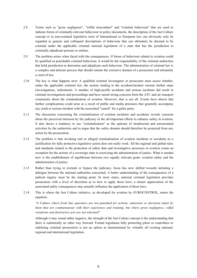- 2.8 Terms such as "gross negligence", "wilful misconduct" and "criminal behaviour" that are used to indicate forms of criminally-relevant behaviour in policy documents, the description of the Just Culture concept or in non-criminal legislative texts of International or European law can obviously only be regarded as generic and colloquial descriptions of behaviour that can ultimately be deemed to be criminal under the applicable criminal national legislation of a state that has the jurisdiction to criminally adjudicate persons or entities.
- 2.9 The problem arises when faced with the consequences. If forms of behaviour related to aviation could be qualified as punishable criminal behaviour, it would be the responsibility of the criminal authorities that hold jurisdiction to determine and adjudicate such behaviour. The administration of criminal law is a complex and delicate process that should remain the exclusive domain of a prosecutor and ultimately a court of law.
- 2.10 The key is what happens next: A qualified criminal investigator or prosecutor must assess whether, under the applicable criminal law, the actions leading to the accident/incident warrant further steps (investigations, indictment). A number of high-profile accidents and serious incidents did result in criminal investigations and proceedings and have raised strong concerns from the ATC and air transport community about the criminalisation of aviation. However, that is not all. Events have shown that further complications could arise as a result of public and media pressures that generally accompany any crash or serious incident with the associated "search" for a guilty party.
- 2.11 The discussion concerning the criminalisation of aviation incidents and accidents reveals concerns about the perceived intrusion by the judiciary in the all-important efforts to enhance safety in aviation. It also shows a tendency to use "criminalisation" as the epitome of misdirected and unwarranted activities by the authorities and to argue that the safety domain should therefore be protected from any action by the prosecution.
- 2.12 The problem is that invoking real or alleged criminalisation of aviation incidents or accidents as a justification for fully protective legislative action does not really work. All the regional and global rules and standards related to the protection of safety data and investigative processes in aviation create an exception for the actions of a sovereign state in exercising the administration of justice. What is needed now is the establishment of equilibrium between two equally relevant goals: aviation safety and the administration of justice.
- 2.13 Rather than trying to exclude or bypass the judiciary, focus has now shifted towards initiating a dialogue between the national authorities concerned. A better understanding of the consequences of a judicial inquiry must be the starting point. In most states, national criminal legislation provides prosecutors with a level of discretion as to how to apply those laws; a clearer appreciation of the associated safety consequences may actually influence the application of those laws.
- 2.14 This is where the Just Culture initiative, as developed for aviation by EUROCONTROL, enters the equation:

*"A Culture where front line operators are not punished for actions, omissions or decisions taken by them that are commensurate with their experience and training, but where gross negligence, wilful violations and destructive acts are not tolerated"*

Although it may sound rather negative, the strength of the Just Culture concept is the understanding that there is realistically no other way forward. Formal legislation fully protecting pilots or controllers or sidelining criminal prosecution is not an option as demonstrated by virtually all existing national, regional and international legislation.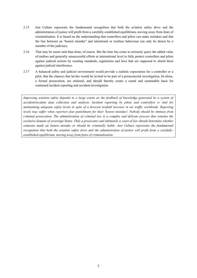- 2.15 Just Culture represents the fundamental recognition that both the aviation safety drive and the administration of justice will profit from a carefully-established equilibrium, moving away from fears of criminalisation. It is based on the understanding that controllers and pilots can make mistakes and that the line between an "honest mistake" and intentional or reckless behaviour can only be drawn by a member of the judiciary.
- 2.16 That may be easier said than done, of course. But the time has come to seriously query the added value of endless and generally unsuccessful efforts at international level to fully protect controllers and pilots against judicial actions by creating standards, regulations and laws that are supposed to shield them against judicial interference.
- 2.17 A balanced safety and judicial environment would provide a realistic expectation for a controller or a pilot, that the chances that he/she would be invited to be part of a prosecutorial investigation, let alone, a formal prosecution, are minimal, and should thereby create a sound and sustainable basis for continued incident reporting and accident investigation.

*Improving aviation safety depends to a large extent on the feedback of knowledge generated by a system of accident/incident data collection and analysis. Incident reporting by pilots and controllers is vital for maintaining adequate safety levels in spite of a forecast twofold increase in air traffic worldwide. Reporting levels may suffer when reporters fear punishment for their 'honest mistakes'. Nobody should be immune from criminal prosecution. The administration of criminal law is a complex and delicate process that remains the exclusive domain of sovereign States. Only a prosecutor and ultimately a court of law should determine whether someone made an honest mistake or should be criminally liable. Just Culture represents the fundamental recognition that both the aviation safety drive and the administration of justice will profit from a carefullyestablished equilibrium, moving away from fears of criminalisation.*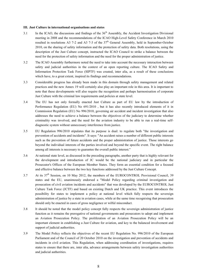#### <span id="page-8-0"></span>**III. Just Culture in international organisations and states**

- 3.1 In the ICAO, the discussions and findings of the  $36<sup>th</sup>$  Assembly, the Accident Investigation Divisional meeting in 2008 and the recommendations of the ICAO High-Level Safety Conference in March 2010 resulted in resolutions A3 7-2 and A3 7-3 of the  $37<sup>th</sup>$  General Assembly, held in September-October 2010, on the sharing of safety information and the protection of safety data. Both resolutions, using the description of the Just Culture concept, instructed the ICAO Council to strike a balance between the need for the protection of safety information and the need for the proper administration of justice.
- 3.2 The ICAO Assembly furthermore noted the need to take into account the necessary interaction between safety and judicial authorities in the context of an open reporting culture. The ICAO Safety and Information Protection Task Force (SIPTF) was created, inter alia, as a result of these conclusions which have, to a great extent, inspired its findings and recommendations.
- 3.3 Considerable progress has already been made in this domain through safety management and related practices and the new Annex 19 will certainly also play an important role in this area. It is important to note that these developments will also require the recognition and perhaps harmonisation of corporate Just Culture with the criminal law requirements and policies at state level.
- 3.4 The EU has not only formally enacted Just Culture as part of EU law by the introduction of Performance Regulation (EU) No 691/2010 , but it has also recently introduced elements of it in Commission Regulation (EU) No 996/2010, governing air accident and incident investigation that also addresses the need to achieve a balance between the objectives of the judiciary to determine whether criminality was involved, and the need for the aviation industry to be able to run a real-time selfdiagnostic system without unnecessary interference from justice.
- 3.5 EU Regulation 996/2010 stipulates that its purpose is dual: to regulate both "the investigation and prevention of accidents and incidents". It says: "An accident raises a number of different public interests such as the prevention of future accidents and the proper administration of justice. Those interests go beyond the individual interests of the parties involved and beyond the specific event. The right balance among all interests is necessary to guarantee the overall public interest."
- 3.6 At national state level, as discussed in the preceding paragraphs, another party that is highly relevant for the development and introduction of JC would be the national judiciary and in particular the Prosecutor's Offices of the European Member States. They form an essential condition for a focused and effective balance between the two key functions addressed by the Just Culture Concept.
- 3.7 At its  $37<sup>th</sup>$  Session, on 10 May 2012, the members of the EUROCONTROL Provisional Council, 39 states and the EU, unanimously endorsed a "Model Policy regarding criminal investigation and prosecution of civil aviation incidents and accidents" that was developed by the EUROCONTROL Just Culture Task Force (JCTF) and based on existing Dutch and UK practice. This event introduces the possibility for states to implement a policy at national level which fully respects the sovereign administration of justice by a state in aviation cases, while at the same time recognising that prosecution should only be enacted in cases of gross negligence or wilful misconduct.
- 3.8 It should be noted that the model policy concept fully respects the sovereign administration of justice function as it remains the prerogative of national governments and prosecutors to adopt and implement an Aviation Prosecution Policy. The proliferation of an Aviation Prosecution Policy will be an important element in establishing a Just Culture for aviation, and key to the balanced involvement and support of judicial authorities.
- 3.9 The Model Policy reflects the objectives of the recent EU Regulation No. 996/2010 of the European Parliament and of the Council of 20 October 2010 on the investigation and prevention of accidents and incidents in civil aviation. This Regulation, when addressing coordination of investigations, requires states to ensure that there are, inter alia, advance arrangements between safety investigation authorities and judicial authorities.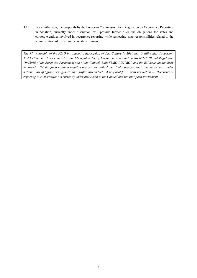3.10 In a similar vein, the proposals by the European Commission for a Regulation on Occurrence Reporting in Aviation, currently under discussion, will provide further rules and obligations for states and corporate entities involved in occurrence reporting while respecting state responsibilities related to the administration of justice in the aviation domain.

*The 37th Assembly of the ICAO introduced a description of Just Culture in 2010 that is still under discussion. Just Culture has been enacted in the EU legal order by Commission Regulation No 691/2010 and Regulation 996/2010 of the European Parliament and of the Council. Both EUROCONTROL and the EU have unanimously endorsed a "Model for a national aviation prosecution policy" that limits prosecution to the equivalents under national law of "gross negligence" and "wilful misconduct". A proposal for a draft regulation on "Occurrence reporting in civil aviation" is currently under discussion in the Council and the European Parliament.*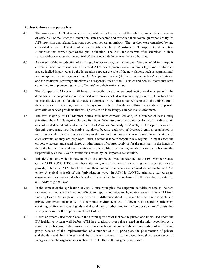#### <span id="page-10-0"></span>**IV. Just Culture at corporate level**

- 4.1 The provision of Air Traffic Services has traditionally been a part of the public domain. Under the aegis of Article 28 of the Chicago Convention, states accepted and exercised their sovereign responsibility for ATS provision and related functions over their sovereign territory. The services were organised by and embedded in the relevant civil service entities such as Ministries of Transport, Civil Aviation Authorities that formed part of the public function. The ATC function was often exercised in close liaison with, or even under the control of, the relevant defence or military authorities.
- 4.2 As a result of the introduction of the Single European Sky, the institutional future of ATM in Europe is currently under full discussion. The actual ATM developments raise numerous legal and institutional issues, fuelled in particular by the interaction between the role of the new players, such as supranational and intergovernmental organisations, Air Navigation Service (ANS) providers, airlines' organisations, and the traditional sovereign functions and responsibilities of the EU states and non-EU states that have committed to implementing the SES "acquis" into their national law.
- 4.3 The European ATM system will have to reconcile the aforementioned institutional changes with the demands of the corporatised or privatised ANS providers that will increasingly exercise their functions in specially designated functional blocks of airspace (FABs) that no longer depend on the delineation of their airspace by sovereign states. The system needs to absorb and allow the creation of private consortia of service providers that will operate in an increasingly competitive environment.
- 4.4 The vast majority of EU Member States have now corporatised and, in a number of cases, fully privatised their Air Navigation Service functions. What used to be activities performed by a directorate or another dedicated entity of a national Civil Aviation Authority or Ministry of Transport, have now, through appropriate new legislative mandates, become activities of dedicated entities established in most cases under national corporate or private law with employees who no longer have the status of civil servants, as they are employed under a national labour/corporate law regime. In most cases the corporate statutes envisaged shares or other means of control solely or for the most part in the hands of the state, but the financial and operational responsibilities for running an ANSP essentially became the responsibility of the CEO or institutions created by the corporate constitution.
- 4.5 This development, which is now more or less completed, was not restricted to the EU Member States. Of the 39 EUROCONTROL member states, only one or two are still exercising their responsibilities to provide, inter alia, ATM functions over their national airspace as a national departmental or CAA entity. A typical spin-off of this "privatisation wave" in ATM is CANSO, originally started as an organisation for commercial ANSPs and affiliates, which has been changed in the meantime to cater for all ANSPs at global level.
- 4.6 In the context of the application of Just Culture principles, the corporate activities related to incident reporting will include the handling of incident reports and mistakes by controllers and other ATM front line employees. Although in theory perhaps no difference should be made between civil servants and private employees, in practice, in a corporate environment with different rules regarding efficiency, obtaining performance-based goals and disciplinary or other sanctions a "corporate culture" exists that is very relevant for the application of Just Culture.
- 4.7 A similar process also took place in the air transport sector that was regulated and liberalised under the EU legislative system well before ATM in a gradual process that started in the mid- seventies. As a result, partly because of the European air transport liberalisation and the corporatisation of ANSPs and partly because of the implementation of a number of SES principles, the phenomenon of private stakeholders and their interests and their role and impact, in some cases through co-governance, in intergovernmental organisations such as EUROCONTROL has greatly increased.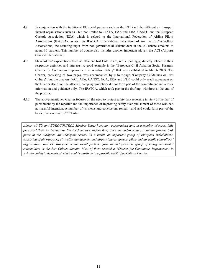- 4.8 In conjunction with the traditional EU social partners such as the ETF (and the different air transport interest organisations such as - but not limited to - IATA, EAA and ERA, CANSO and the European Cockpit Association (ECA) which is related to the International Federation of Airline Pilots' Associations (IFALPA), as well as IFATCA (International Federation of Air Traffic Controllers' Associations) the resulting input from non-governmental stakeholders in the JC debate amounts to about 10 partners. This number of course also includes another important player: the ACI (Airports Council International).
- 4.9 Stakeholders' expectations from an efficient Just Culture are, not surprisingly, directly related to their respective activities and interests. A good example is the "European Civil Aviation Social Partners' Charter for Continuous Improvement in Aviation Safety" that was established in March 2009. The Charter, consisting of two pages, was accompanied by a four-page "Company Guidelines on Just Culture", but the creators (ACI, AEA, CANSO, ECA, ERA and ETF) could only reach agreement on the Charter itself and the attached company guidelines do not form part of the commitment and are for information and guidance only. The IFATCA, which took part in the drafting, withdrew at the end of the process.
- 4.10 The above-mentioned Charter focuses on the need to protect safety data reporting in view of the fear of punishment by the reporter and the importance of improving safety over punishment of those who had no harmful intention. A number of its views and conclusions remain valid and could form part of the basis of an eventual JCC Charter.

*Almost all EU and EUROCONTROL Member States have now corporatised and, in a number of cases, fully privatised their Air Navigation Service functions. Before that, since the mid-seventies, a similar process took place in the European Air Transport sector. As a result, an important group of European stakeholders, consisting of air transport, air traffic management and airport interest groups, pilots and air traffic controllers ' organisations and EU transport sector social partners form an indispensable group of non-governmental stakeholders in the Just Culture domain. Most of them created a "Charter for Continuous Improvement in Aviation Safety", elements of which could contribute to a possible EESC Just Culture Charter.*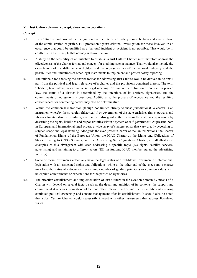#### <span id="page-12-0"></span>**V. Just Culture charter: concept, views and expectations**

#### **Concept**

- 5.1 Just Culture is built around the recognition that the interests of safety should be balanced against those of the administration of justice. Full protection against criminal investigation for those involved in an occurrence that could be qualified as a (serious) incident or accident is not possible. That would be in conflict with the principle that nobody is above the law.
- 5.2 A study on the feasibility of an initiative to establish a Just Culture Charter must therefore address the effectiveness of the charter format and concept for attaining such a balance. That would also include the expectations of the different stakeholders and the representatives of the national judiciary and the possibilities and limitations of other legal instruments to implement and protect safety reporting.
- 5.3 The rationale for choosing the charter format for addressing Just Culture would be derived in no small part from the political and legal relevance of a charter and the provisions contained therein. The term "charter", taken alone, has no universal legal meaning. Not unlike the definition of contract in private law, the status of a charter is determined by the intentions of its drafters, signatories, and the commitments or obligations it describes. Additionally, the process of acceptance and the resulting consequences for contracting parties may also be determinative.
- 5.4 Within the common law tradition (though not limited strictly to these jurisdictions), a charter is an instrument whereby the sovereign (historically) or government of the state enshrines rights, powers, and liberties for its citizens. Similarly, charters can also grant authority from the state to corporations by describing the rights, liabilities and responsibilities within a system of self-government. At present, both in European and international legal orders, a wide array of charters exists that vary greatly according to subject, scope and legal standing. Alongside the ever-present Charter of the United Nations, the Charter of Fundamental Rights of the European Union, the ICAO Charter on the Rights and Obligations of States Relating to GNSS Services, and the Advertising Self-Regulations Charter, are all illustrative examples of this divergence; with each addressing a specific topic (EU rights, satellite services, advertising) and pertaining to different actors (EU institutions, ICAO member states, the advertising industry).
- 5.5 Some of these instruments effectively have the legal status of a full-blown instrument of international legislation with all associated rights and obligations, while at the other end of the spectrum, a charter may have the status of a document containing a number of guiding principles or common values with no explicit commitments or expectations for the parties or signatories.
- 5.6 The effective establishment and implementation of Just Culture in the aviation domain by means of a Charter will depend on several factors such as the detail and ambition of its contents, the support and commitment it receives from stakeholders and other relevant parties and the possibilities of ensuring continued political ownership and content management after its establishment. It should also be noted that a Just Culture Charter would necessarily interact with other instruments that address JC-related issues.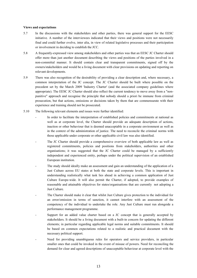#### **Views and expectations**

- 5.7 In the discussions with the stakeholders and other parties, there was general support for the EESC initiative. A number of the interviewees indicated that their views and positions were not necessarily final and could further evolve, inter alia, in view of related legislative processes and their participation or involvement in deciding to establish the JCC.
- 5.8 A frequently-expressed view among stakeholders and other parties was that an EESC JC Charter should offer more than just another document describing the views and positions of the parties involved in a non-committal manner. It should contain clear and transparent commitments, signed off by the owners/stakeholders and would be a living document with clear provisions on updating and reporting on relevant developments.
- 5.9 There was also recognition of the desirability of providing a clear description and, where necessary, a common interpretation of the JC concept. The JC Charter should be built where possible on the precedent set by the March 2009 'Industry Charter' (and the associated company guidelines where appropriate). The EESC JC Charter should also reflect the current tendency to move away from a "nonpunitive" approach and recognise the principle that nobody should a priori be immune from criminal prosecution, but that actions, omissions or decisions taken by them that are commensurate with their experience and training should not be prosecuted.
- 5.10 The following relevant elements and issues were further identified:
	- In order to facilitate the interpretation of established policies and commitments at national as well as at corporate level, the Charter should provide an adequate description of actions, inaction or other behaviour that is deemed unacceptable in a corporate environment as well as in the context of the administration of justice. The need to reconcile the criminal norms with those applicable under corporate or other applicable civil law was also identified.
	- The JC Charter should provide a comprehensive overview of both applicable law as well as registered commitments, policies and positions from stakeholders, authorities and other organisations; it was suggested that the JC Charter could be managed by a sufficiently independent and experienced entity, perhaps under the political supervision of an established European institution.
	- The study should ideally make an assessment and gain an understanding of the application of a Just Culture across EU states at both the state and corporate levels. This is important in understanding realistically what task lies ahead in achieving a common application of Just Culture Europe-wide. It will also permit the Charter, if adopted, to provide examples of reasonable and attainable objectives for states/organisations that are currently not adopting a Just Culture.
	- The Charter should make it clear that whilst Just Culture gives protection to the individual for an error/omission in terms of sanction, it cannot interfere with an assessment of the competency of the individual to undertake the role. Any Just Culture must run alongside a performance management programme.
	- Support for an added value charter based on a JC concept that is generally accepted by stakeholders. It should be a living document with a built-in concern for updating the different elements; in particular regarding applicable legal norms and suitable commitments. It should be based on common expectations related to a realistic and practical document with the necessary political support.
	- Need for providing unambiguous rules for operators and service providers, in particular smaller ones that could be invoked in the event of misuse of powers. Need for reconciling the demand for clear and agreed descriptions of unacceptable behaviour at corporate level with the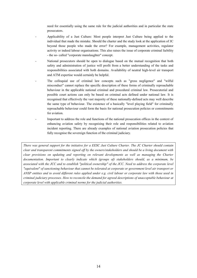need for essentially using the same rule for the judicial authorities and in particular the state prosecutors.

- Applicability of a Just Culture: Most people interpret Just Culture being applied to the individual that made the mistake. Should the charter and the study look at the application of JC beyond those people who made the error? For example, management activities, regulator activity or indeed labour organisations. This also raises the issue of corporate criminal liability - the so- called "corporate manslaughter" concept.
- National prosecutors should be open to dialogue based on the mutual recognition that both safety and administration of justice will profit from a better understanding of the tasks and responsibilities associated with both domains. Availability of neutral high-level air transport and ATM expertise would certainly be helpful.
- The colloquial use of criminal law concepts such as "gross negligence" and "wilful misconduct" cannot replace the specific description of these forms of criminally reproachable behaviour in the applicable national criminal and procedural criminal law. Prosecutorial and possible court actions can only be based on criminal acts defined under national law. It is recognised that effectively the vast majority of these nationally-defined acts may well describe the same type of behaviour. The existence of a basically "level playing field" for criminally reproachable behaviour could form the basis for national prosecution policies or commitments for aviation.
- Important to address the role and functions of the national prosecution offices in the context of enhancing aviation safety by recognising their role and responsibilities related to aviation incident reporting. There are already examples of national aviation prosecution policies that fully recognise the sovereign function of the criminal judiciary.

*There was general support for the initiative for a EESC Just Culture Charter. The JC Charter should contain clear and transparent commitments signed off by the owners/stakeholders and should be a living document with clear provisions on updating and reporting on relevant developments as well as managing the Charter documentation. Important to clearly indicate which (groups of) stakeholders should, as a minimum, be associated with the JCC and to establish "political ownership" of the JCC. Need to address the corporate level "equivalent" of sanctioning behaviour that cannot be tolerated at corporate or government level air transport or ANSP entities and to avoid different rules applied under e.g. civil labour or corporate law with those used in criminal judiciary processes. How to reconcile the demand for agreed descriptions of unacceptable behaviour at corporate level with applicable criminal norms for the judicial authorities.*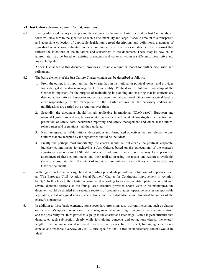#### <span id="page-15-0"></span>**VI. Just Culture charter: content, format, resources**

6.1 Having addressed the key concepts and the rationale for having a charter focused on Just Culture above, focus will now turn to the specifics of such a document. By and large, it should amount to a transparent and accessible collection of applicable legislation, agreed descriptions and definitions, a number of signed-off or otherwise validated policies, commitments or other relevant statements in a format that reflects the intentions of the initiators, and subscribers to the document. These may be new or, as appropriate, may be based on existing precedents and content, within a sufficiently descriptive and logical template.

**Annex I**, attached to this document, provides a possible outline or model for further discussion and refinement.

- 6.2 The basic elements of the Just Culture Charter content can be described as follows:
	- 1. From the outset, it is important that the charter has an institutional or political 'owner' and provides for a delegated hands-on management responsibility. Political or institutional ownership of the Charter is important for the purpose of maintaining its standing and ensuring that its contents are deemed authoritative at European and perhaps even international level. On a more practical level, a clear responsibility for the management of the Charter ensures that the necessary updates and modifications are carried out as required over time;
	- 2. Secondly, the document should list all applicable international (ICAO-based), European and national legislations and regulations related to accident and incident investigation, collection and protection of safety data, occurrence reporting and safety management and other Just Culturerelated rules and regulations - all duly updated;
	- 3. Next, an agreed set of definitions, descriptions and formulated objectives that are relevant to Just Culture that are accepted by the signatories should be included;
	- 4. Finally and perhaps most importantly, the charter should set out clearly the political, corporate, judiciary commitments for achieving a Just Culture, based on the expectations of the charter's signatories and relevant EESC stakeholders. In addition, it must pave the way for a periodical assessment of these commitments and their realisation using the means and resources available. (Where appropriate, the full content of individual commitments and policies will annexed to any Charter document)
- 6.3 With regards to format, a design based on existing precedents provides a useful point of departure, such as "The European Civil Aviation Social Partners' Charter for Continuous Improvement in Aviation Safety". In this layout, the charter is formulated according to an agreement-template that is split into several different sections. If the four-pillared structure provided above were to be maintained, the document could be divided into separate sections of preamble clauses, operative articles on applicable legislation, a list of agreed concepts/definitions, and the substantive commitments/deliverables of the charter's signatories.
- 6.4 In addition to these basic elements, some secondary provisions also warrant inclusion, such as clauses on the charter's upgrade or renewal, the management of monitoring or accompanying administration, and the possibility for third parties to sign up to the charter at a later stage. With a logical structure that demarcates each sub-section clearly while formulating concepts and obligations clearly, the overall length of the document would not need to exceed three pages. In this respect, finding agreement on a concise and readable overview of Just Culture specifics that is free of unnecessary content would be ideal.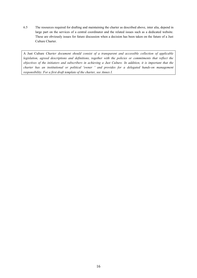6.5 The resources required for drafting and maintaining the charter as described above, inter alia, depend in large part on the services of a central coordinator and the related issues such as a dedicated website. These are obviously issues for future discussion when a decision has been taken on the future of a Just Culture Charter.

A Just Culture *Charter document should consist of a transparent and accessible collection of applicable legislation, agreed descriptions and definitions, together with the policies or commitments that reflect the objectives of the initiators and subscribers in achieving a Just Culture. In addition, it is important that the charter has an institutional or political 'owner ' and provides for a delegated hands-on management responsibility. For a first draft template of the charter, see Annex I.*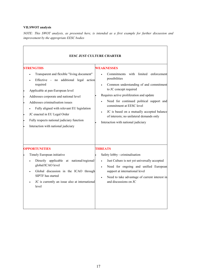#### <span id="page-17-0"></span>**VII.SWOT analysis**

*NOTE: This SWOT analysis, as presented here, is intended as a first example for further discussion and improvement by the appropriate EESC bodies*

| <b>EESC JUST CULTURE CHARTER</b>                                                                                                                                                                                                                                                                                                                                                                             |                                                                                                                                                                                                                                                                                                                                                                                                 |  |  |
|--------------------------------------------------------------------------------------------------------------------------------------------------------------------------------------------------------------------------------------------------------------------------------------------------------------------------------------------------------------------------------------------------------------|-------------------------------------------------------------------------------------------------------------------------------------------------------------------------------------------------------------------------------------------------------------------------------------------------------------------------------------------------------------------------------------------------|--|--|
| <b>STRENGTHS</b><br>Transparent and flexible "living document"<br>Effective - no<br>additional legal action<br>required<br>Applicable at pan-European level<br>Addresses corporate and national level<br>Addresses criminalisation issues<br>Fully aligned with relevant EU legislation<br>JC enacted in EU Legal Order<br>Fully respects national judiciary function<br>Interaction with national judiciary | WEAKNESSES<br>Commitments with<br>limited enforcement<br>possibilities<br>Common understanding of and commitment<br>to JC concept required<br>Requires active proliferation and update<br>Need for continued political support and<br>commitment at EESC level<br>JC is based on a mutually accepted balance<br>of interests; no unilateral demands only<br>Interaction with national judiciary |  |  |
| <b>OPPORTUNITIES</b>                                                                                                                                                                                                                                                                                                                                                                                         | <b>THREATS</b>                                                                                                                                                                                                                                                                                                                                                                                  |  |  |
| Timely European initiative<br>Directly applicable at national/regional/<br>global/ICAO level<br>Global discussion in the ICAO through<br>SIPTF has started<br>JC is currently an issue also at international<br>level                                                                                                                                                                                        | Safety lobby - criminalisation<br>Just Culture is not yet universally accepted<br>Need for ongoing and unified European<br>support at international level<br>Need to take advantage of current interest in<br>and discussions on JC                                                                                                                                                             |  |  |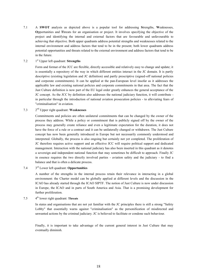7.1 A **SWOT** analysis as depicted above is a popular tool for addressing **S**trengths, **W**eaknesses, **O**pportunities and **T**hreats for an organisation or project. It involves specifying the objective of the project and identifying the internal and external factors that are favourable and unfavourable to achieving that objective. Both upper quadrants address potential strengths and weaknesses related to the internal environment and address factors that tend to be in the present; both lower quadrants address potential opportunities and threats related to the external environment and address factors that tend to be in the future.

#### 7.2 1<sup>st</sup> Upper left quadrant: **Strengths**

Form and format of the JCC are flexible, directly accessible and relatively easy to change and update; it is essentially a repository of the way in which different entities interact in the JC domain. It is partly descriptive (existing legislation and JC definition) and partly prescriptive (signed-off national policies and corporate commitments). It can be applied at the pan-European level insofar as it addresses the applicable law and existing national policies and corporate commitments in that area. The fact that the Just Culture definition is now part of the EU legal order greatly enhances the general acceptance of the JC concept. As the JCC by definition also addresses the national judiciary function, it will contribute in particular through the introduction of national aviation prosecution policies - to alleviating fears of "criminalisation" in aviation.

#### 7.3 2 2<sup>nd</sup> Upper right quadrant: **Weaknesses**

Commitments and policies are often unilateral commitments that can be changed by the owner of the process they address. While a policy or commitment that is publicly signed off by the owner of the process may generally create reliance and even a legitimate expectation for the duration, it does not have the force of a rule or a contract and it can be unilaterally changed or withdrawn. The Just Culture concept has now been generally introduced in Europe but not necessarily commonly understood and interpreted. Globally, the process is also ongoing but certainly not yet completed. The proliferation of JC therefore requires active support and an effective JCC will require political support and dedicated management. Interaction with the national judiciary has also been inserted in this quadrant as it denotes a sovereign and independent national function that may sometimes be difficult to approach. Finally JC in essence requires the two directly involved parties - aviation safety and the judiciary - to find a balance and that is often a delicate process.

#### 7.4  $3<sup>rd</sup>$  Lower left quadrant: **Opportunities**

A number of the strengths in the internal process retain their relevance in interacting in a global environment: the Charter model can be globally applied at different levels and the discussion in the ICAO has already started through the ICAO SIPTF. The notion of Just Culture is now under discussion in Europe, the ICAO and in parts of South America and Asia. That is a promising development for further proliferation.

#### 7.5 th lower right quadrant: **Threats**

In states and organisations that are not yet familiar with the JC principles there is still a strong "Safety Lobby" that essentially warns against "criminalisation" as the personification of misdirected and unwanted actions by the criminal judiciary. JC is believed to facilitate or condone such behaviour.

Finally, it is important to take advantage of the current general interest in Just Culture that may eventually diminish.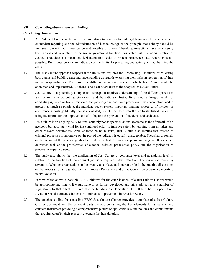#### <span id="page-19-0"></span>**VIII. Concluding observations and findings**

#### **Concluding observations**

- 8.1 At ICAO and European Union level all initiatives to establish formal legal boundaries between accident or incident reporting and the administration of justice, recognise the principle that nobody should be immune from criminal investigation and possible sanctions. Therefore, exceptions have consistently been introduced in relation to the sovereign national functions connected with the administration of Justice. That does not mean that legislation that seeks to protect occurrence data reporting is not possible. But it does provide an indication of the limits for protecting one activity without harming the other.
- 8.2 The Just Culture approach respects those limits and explores the promising solutions of educating both camps and building trust and understanding as regards exercising their tasks in recognition of their mutual responsibilities. There may be different ways and means in which Just Culture could be addressed and implemented. But there is no clear alternative to the adoption of a Just Culture.
- 8.3 Just Culture is a potentially complicated concept. It requires understanding of the different processes and commitments by both safety experts and the judiciary. Just Culture is not a "magic wand" for combating injustice or fear of misuse of the judiciary and corporate processes. It has been introduced to protect, as much as possible, the mundane but extremely important ongoing processes of incident or occurrence reporting: literally thousands of daily events that feed into the well-established system of using the reports for the improvement of safety and the prevention of incidents and accidents.
- 8.4 Just Culture is an ongoing daily routine, certainly not as spectacular and awesome as the aftermath of an accident, but absolutely vital for the continued effort to improve safety by learning from mistakes and other relevant occurrences. And let there be no mistake, Just Culture also implies that misuse of criminal processes or ignorance on the part of the judiciary is equally unacceptable. Focus has to remain on the pursuit of the practical goals identified by the Just Culture concept and on the generally-accepted deliveries such as the proliferation of a model aviation prosecution policy and the organisation of prosecutor expert courses.
- 8.5 The study also shows that the application of Just Culture at corporate level and at national level in relation to the function of the criminal judiciary requires further attention. The issue was raised by several stakeholder organisations and currently also plays an important role in the ongoing discussions on the proposal for a Regulation of the European Parliament and of the Council on occurrence reporting in civil aviation.
- 8.6 In view of the above, a possible EESC initiative for the establishment of a Just Culture Charter would be appropriate and timely. It would have to be further developed and this study contains a number of suggestions to that effect. It could also be building on elements of the 2009 "The European Civil Aviation Social Partners' Charter for Continuous Improvement in Aviation Safety."
- 8.7 The attached outline for a possible EESC Just Culture Charter provides a template of a Just Culture Charter document and the different parts thereof, containing the key elements for a realistic and efficient instrument providing a comprehensive picture of applicable law and policies and commitments that are signed off by their respective owners for their duration.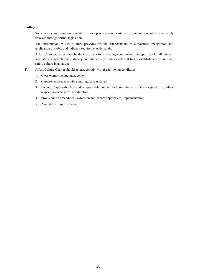#### **Findings**

- I. Some issues and conditions related to an open reporting system for aviation cannot be adequately resolved through formal legislation;
- II. The introduction of Just Culture provides for the establishment of a balanced recognition and application of safety and judiciary requirements/demands;
- III. A Just Culture Charter could be the instrument for providing a comprehensive repository for all relevant legislation, corporate and judiciary commitments or policies relevant to the establishment of an open safety culture in aviation;
- IV. A Just Culture Charter should at least comply with the following conditions:
	- 1. Clear ownership and management
	- 2. Comprehensive, accessible and regularly updated
	- 3. Listing of applicable law and of applicable policies and commitments that are signed off by their respective owners for their duration
	- 4. Provisions on amendment, extension and, where appropriate, implementation.
	- 5. Available through e-media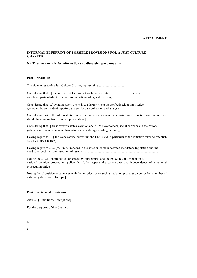#### **ATTACHMENT**

#### **INFORMAL BLUEPRINT OF POSSIBLE PROVISIONS FOR A JUST CULTURE CHARTER**

#### **NB This document is for information and discussion purposes only**

#### **Part I Preamble**

The signatories to this Just Culture Charter, representing.................................

Considering that ...[ the aim of Just Culture is to achieve a greater ..........................between ............. members, particularly for the purpose of safeguarding and realising............................................];

Considering that ....[ aviation safety depends to a larger extent on the feedback of knowledge generated by an incident reporting system for data collection and analysis ];

Considering that. [ the administration of justice represents a national constitutional function and that nobody should be immune from criminal prosecution ];

Considering that . [ trust between states, aviation and ATM stakeholders, social partners and the national judiciary is fundamental at all levels to ensure a strong reporting culture ];

Having regard to .... [ the work carried out within the EESC and in particular to the initiative taken to establish a Just Culture Charter ];

Having regard to........ [the limits imposed in the aviation domain between mandatory legislation and the need to respect the administration of justice ] .............................................................................................

Noting the........ [Unanimous endorsement by Eurocontrol and the EU States of a model for a national aviation prosecution policy that fully respects the sovereignty and independence of a national prosecution office ]

Noting the ..[ positive experiences with the introduction of such an aviation prosecution policy by a number of national judiciaries in Europe ]

#### **Part II - General provisions**

Article 1[Definitions/Descriptions]

For the purposes of this Charter:

b.

c.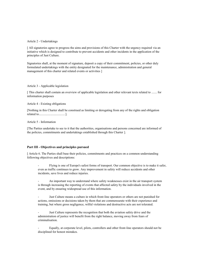#### Article 2 - Undertakings

[ All signatories agree to progress the aims and provisions of this Charter with the urgency required via an initiative which is designed to contribute to prevent accidents and other incidents in the application of the principles of Just Culture.

Signatories shall, at the moment of signature, deposit a copy of their commitment, policies, or other duly formulated undertakings with the entity designated for the maintenance, administration and general management of this charter and related events or activities ]

#### Article 3 - Applicable legislation

[ This charter shall contain an overview of applicable legislation and other relevant texts related to ....... for information purposes

#### Article 4 - Existing obligations

[Nothing in this Charter shall be construed as limiting or derogating from any of the rights and obligation related to.................................].

#### Article 5 - Information

[The Parties undertake to see to it that the authorities, organisations and persons concerned are informed of the policies, commitments and undertakings established through this Charter ].

#### **Part III - Objectives and principles pursued**

[ Article 6. The Parties shall base their policies, commitments and practices on a common understanding following objectives and descriptions:

- Flying is one of Europe's safest forms of transport. Our common objective is to make it safer, even as traffic continues to grow. Any improvement in safety will reduce accidents and other incidents, save lives and reduce injuries.

An important way to understand where safety weaknesses exist in the air transport system is through increasing the reporting of events that affected safety by the individuals involved in the event, and by ensuring widespread use of this information.

Just Culture means a culture in which front-line operators or others are not punished for actions, omissions or decisions taken by them that are commensurate with their experience and training, but where gross negligence, wilful violations and destructive acts are not tolerated.

Just Culture represents the recognition that both the aviation safety drive and the administration of justice will benefit from the right balance, moving away from fears of criminalisation.

- Equally, at corporate level, pilots, controllers and other front-line operators should not be disciplined for honest mistakes.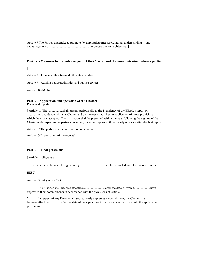Article 7 The Parties undertake to promote, by appropriate measures, mutual understanding and encouragement of...................................................to pursue the same objective. ]

#### **Part IV - Measures to promote the goals of the Charter and the communication between parties**

[....................................................................................................................................................

Article 8 - Judicial authorities and other stakeholders

Article 9 - Administrative authorities and public services

Article 10 - Media ]

#### **Part V - Application and operation of the Charter** Periodical reports

[ Article 11 The ...................shall present periodically to the Presidency of the EESC, a report on ............in accordance with this Charter and on the measures taken in application of those provisions which they have accepted. The first report shall be presented within the year following the signing of the Charter with respect to the parties concerned, the other reports at three-yearly intervals after the first report.

Article 12 The parties shall make their reports public.

Article 13 Examination of the reports]

#### **Part VI - Final provisions**

[ Article 14 Signature

This Charter shall be open to signature by ......................... It shall be deposited with the President of the

EESC.

Article 15 Entry into effect

1. This Charter shall become effective ........................... after the date on which....................have expressed their commitments in accordance with the provisions of Article..

2. In respect of any Party which subsequently expresses a commitment, the Charter shall become effective .............. after the date of the signature of that party in accordance with the applicable provisions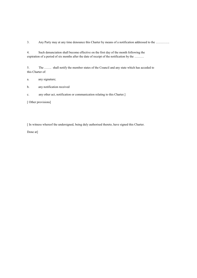3. Any Party may at any time denounce this Charter by means of a notification addressed to the ………….

4. Such denunciation shall become effective on the first day of the month following the expiration of a period of six months after the date of receipt of the notification by the ………

5. The ……. shall notify the member states of the Council and any state which has acceded to this Charter of:

a. any signature;

- b. any notification received
- c. any other act, notification or communication relating to this Charter.]

[ Other provisions]

[ In witness whereof the undersigned, being duly authorised thereto, have signed this Charter.

Done at]